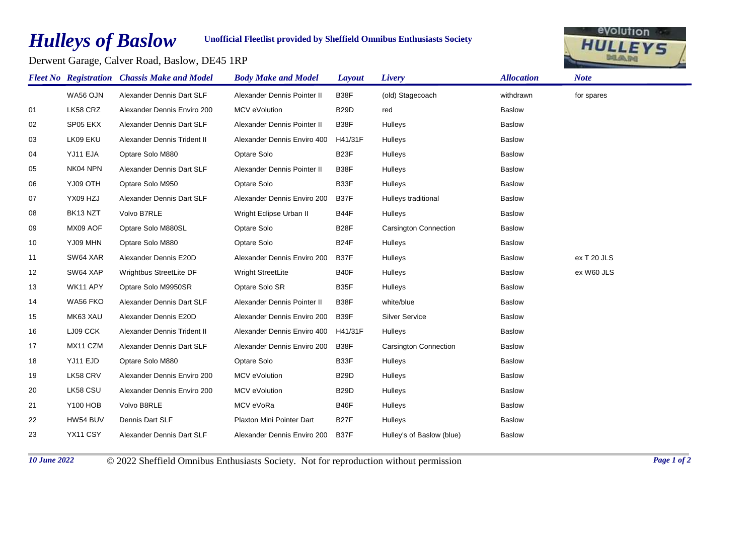## *Hulleys of Baslow*

## **Unofficial Fleetlist provided by Sheffield Omnibus Enthusiasts Society**

Derwent Garage, Calver Road, Baslow, DE45 1RP



|    |                 | <b>Fleet No. Registration</b> Chassis Make and Model | <b>Body Make and Model</b>  | Layout            | Livery                       | <b>Allocation</b> | <b>Note</b> |
|----|-----------------|------------------------------------------------------|-----------------------------|-------------------|------------------------------|-------------------|-------------|
|    | WA56 OJN        | Alexander Dennis Dart SLF                            | Alexander Dennis Pointer II | B38F              | (old) Stagecoach             | withdrawn         | for spares  |
| 01 | LK58 CRZ        | Alexander Dennis Enviro 200                          | MCV eVolution               | <b>B29D</b>       | red                          | <b>Baslow</b>     |             |
| 02 | SP05 EKX        | Alexander Dennis Dart SLF                            | Alexander Dennis Pointer II | B38F              | Hulleys                      | <b>Baslow</b>     |             |
| 03 | LK09 EKU        | Alexander Dennis Trident II                          | Alexander Dennis Enviro 400 | H41/31F           | Hulleys                      | <b>Baslow</b>     |             |
| 04 | YJ11 EJA        | Optare Solo M880                                     | Optare Solo                 | B <sub>23</sub> F | Hulleys                      | <b>Baslow</b>     |             |
| 05 | NK04 NPN        | Alexander Dennis Dart SLF                            | Alexander Dennis Pointer II | B38F              | Hulleys                      | <b>Baslow</b>     |             |
| 06 | <b>YJ09 OTH</b> | Optare Solo M950                                     | Optare Solo                 | B33F              | Hulleys                      | <b>Baslow</b>     |             |
| 07 | YX09 HZJ        | Alexander Dennis Dart SLF                            | Alexander Dennis Enviro 200 | B37F              | Hulleys traditional          | <b>Baslow</b>     |             |
| 08 | BK13 NZT        | Volvo B7RLE                                          | Wright Eclipse Urban II     | B44F              | Hulleys                      | <b>Baslow</b>     |             |
| 09 | MX09 AOF        | Optare Solo M880SL                                   | Optare Solo                 | <b>B28F</b>       | <b>Carsington Connection</b> | <b>Baslow</b>     |             |
| 10 | YJ09 MHN        | Optare Solo M880                                     | Optare Solo                 | B <sub>24</sub> F | Hulleys                      | <b>Baslow</b>     |             |
| 11 | SW64 XAR        | Alexander Dennis E20D                                | Alexander Dennis Enviro 200 | B37F              | Hulleys                      | <b>Baslow</b>     | ex T 20 JLS |
| 12 | SW64 XAP        | Wrightbus StreetLite DF                              | <b>Wright StreetLite</b>    | B40F              | Hulleys                      | <b>Baslow</b>     | ex W60 JLS  |
| 13 | WK11 APY        | Optare Solo M9950SR                                  | Optare Solo SR              | B <sub>35</sub> F | Hulleys                      | <b>Baslow</b>     |             |
| 14 | WA56 FKO        | Alexander Dennis Dart SLF                            | Alexander Dennis Pointer II | B38F              | white/blue                   | <b>Baslow</b>     |             |
| 15 | MK63 XAU        | Alexander Dennis E20D                                | Alexander Dennis Enviro 200 | B39F              | <b>Silver Service</b>        | <b>Baslow</b>     |             |
| 16 | LJ09 CCK        | Alexander Dennis Trident II                          | Alexander Dennis Enviro 400 | H41/31F           | Hulleys                      | <b>Baslow</b>     |             |
| 17 | MX11 CZM        | Alexander Dennis Dart SLF                            | Alexander Dennis Enviro 200 | B38F              | <b>Carsington Connection</b> | <b>Baslow</b>     |             |
| 18 | YJ11 EJD        | Optare Solo M880                                     | Optare Solo                 | B33F              | Hulleys                      | <b>Baslow</b>     |             |
| 19 | LK58 CRV        | Alexander Dennis Enviro 200                          | MCV eVolution               | <b>B29D</b>       | Hulleys                      | <b>Baslow</b>     |             |
| 20 | LK58 CSU        | Alexander Dennis Enviro 200                          | MCV eVolution               | <b>B29D</b>       | Hulleys                      | <b>Baslow</b>     |             |
| 21 | <b>Y100 HOB</b> | Volvo B8RLE                                          | MCV eVoRa                   | B46F              | Hulleys                      | <b>Baslow</b>     |             |
| 22 | HW54 BUV        | Dennis Dart SLF                                      | Plaxton Mini Pointer Dart   | <b>B27F</b>       | Hulleys                      | <b>Baslow</b>     |             |
| 23 | YX11 CSY        | Alexander Dennis Dart SLF                            | Alexander Dennis Enviro 200 | B <sub>37</sub> F | Hulley's of Baslow (blue)    | <b>Baslow</b>     |             |

*10 June 2022* © 2022 Sheffield Omnibus Enthusiasts Society. Not for reproduction without permission *Page 1 of 2*